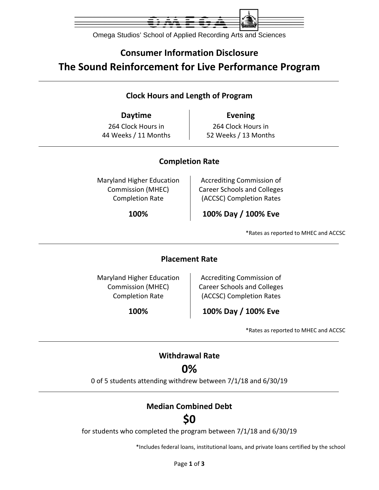

Omega Studios' School of Applied Recording Arts and Sciences

## **Consumer Information Disclosure The Sound Reinforcement for Live Performance Program**

### **Clock Hours and Length of Program**

**Daytime Evening** 264 Clock Hours in 44 Weeks / 11 Months

264 Clock Hours in 52 Weeks / 13 Months

### **Completion Rate**

Maryland Higher Education Commission (MHEC) Completion Rate

Accrediting Commission of Career Schools and Colleges (ACCSC) Completion Rates

**100% 100% Day / 100% Eve**

\*Rates as reported to MHEC and ACCSC

#### **Placement Rate**

Maryland Higher Education Commission (MHEC) Completion Rate

Accrediting Commission of Career Schools and Colleges (ACCSC) Completion Rates

**100% 100% Day / 100% Eve**

\*Rates as reported to MHEC and ACCSC

### **Withdrawal Rate**

### **0%**

0 of 5 students attending withdrew between 7/1/18 and 6/30/19

### **Median Combined Debt**

## **\$0**

for students who completed the program between 7/1/18 and 6/30/19

\*Includes federal loans, institutional loans, and private loans certified by the school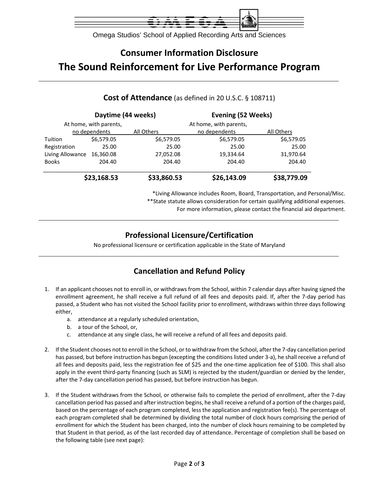

Omega Studios' School of Applied Recording Arts and Sciences

# **Consumer Information Disclosure The Sound Reinforcement for Live Performance Program**

|                  | Daytime (44 weeks)     |             | Evening (52 Weeks)     |             |  |
|------------------|------------------------|-------------|------------------------|-------------|--|
|                  | At home, with parents, |             | At home, with parents, |             |  |
|                  | no dependents          | All Others  | no dependents          | All Others  |  |
| Tuition          | \$6,579.05             | \$6,579.05  | \$6,579.05             | \$6,579.05  |  |
| Registration     | 25.00                  | 25.00       | 25.00                  | 25.00       |  |
| Living Allowance | 16,360.08              | 27,052.08   | 19,334.64              | 31,970.64   |  |
| <b>Books</b>     | 204.40                 | 204.40      | 204.40                 | 204.40      |  |
|                  | \$23,168.53            | \$33,860.53 | \$26,143.09            | \$38,779.09 |  |

#### **Cost of Attendance** (as defined in 20 U.S.C. § 108711)

\*Living Allowance includes Room, Board, Transportation, and Personal/Misc. \*\*State statute allows consideration for certain qualifying additional expenses.

For more information, please contact the financial aid department.

### **Professional Licensure/Certification**

No professional licensure or certification applicable in the State of Maryland

### **Cancellation and Refund Policy**

- 1. If an applicant chooses not to enroll in, or withdraws from the School, within 7 calendar days after having signed the enrollment agreement, he shall receive a full refund of all fees and deposits paid. If, after the 7‐day period has passed, a Student who has not visited the School facility prior to enrollment, withdraws within three days following either,
	- a. attendance at a regularly scheduled orientation,
	- b. a tour of the School, or,
	- c. attendance at any single class, he will receive a refund of all fees and deposits paid.
- 2. If the Student chooses not to enroll in the School, or to withdraw from the School, after the 7‐day cancellation period has passed, but before instruction has begun (excepting the conditions listed under 3-a), he shall receive a refund of all fees and deposits paid, less the registration fee of \$25 and the one‐time application fee of \$100. This shall also apply in the event third-party financing (such as SLM) is rejected by the student/guardian or denied by the lender, after the 7‐day cancellation period has passed, but before instruction has begun.
- 3. If the Student withdraws from the School, or otherwise fails to complete the period of enrollment, after the 7‐day cancellation period has passed and after instruction begins, he shall receive a refund of a portion of the charges paid, based on the percentage of each program completed, less the application and registration fee(s). The percentage of each program completed shall be determined by dividing the total number of clock hours comprising the period of enrollment for which the Student has been charged, into the number of clock hours remaining to be completed by that Student in that period, as of the last recorded day of attendance. Percentage of completion shall be based on the following table (see next page):